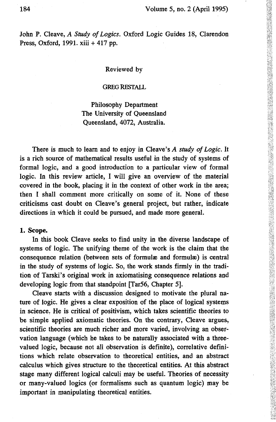John P. Cleave, *A Study of Logics.* Oxford Logic Guides 18, Clarendon Press, Oxford, 1991. xiii + 417 pp.

#### Reviewed by

#### GREG RESTALL

Philosophy Department The University of Queensland Queensland, 4072, Australia.

There is much to learn and to enjoy in Cleave's *A study of Logic.* It is a rich source of mathematical results useful in the study of systems of formal logic, and a good introduction to a particular view of formal logic. In this review article, I will give an overview of the material covered in the book, placing it in the context of other work in the area; then I shall comment more critically on some of it. None of these criticisms cast doubt on Cleave's general project, but rather, indicate directions in which it could be pursued, and made more general.

### **1. Scope.**

**In** this book Cleave seeks to find unity in the diverse landscape of systems of logic. The unifying theme of the work is the claim that the consequence relation (between sets of formulae and formulae) is central in the study of systems of logic. So, the work stands firmly in the tradition of Tarski's original work in axiomatising consequence relations and developing logic from that standpoint [Tar56, Chapter 5].

Cleave starts with a discussion designed to motivate the plural nature of logic. He gives a clear exposition of the place of logical systems in science. He is critical of positivism, which takes scientific theories to be simple applied axiomatic theories. On the contrary, Cleave argues, scientific theories are much richer and more varied, involving an observation language (which he takes to be naturally associated with a threevalued logic, because not all observation is definite), correlative definitions which relate observation to theoretical entities, and an abstract calculus which gives structure to the theoretical entities. At this abstract stage many different logical calculi may be useful. Theories of necessity or many-valued logics (or formalisms such as quantum logic) may be important in manipulating theoretical entities.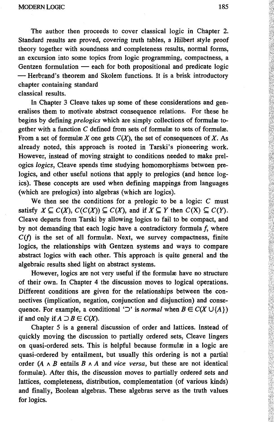The author then proceeds to cover classical logic in Chapter 2. Standard results are proved, covering truth tables, a Hilbert style proof theory together with soundness and completeness results, normal forms, an excursion into some topics from logic programming, compactness, a Gentzen formulation — each for both propositional and predicate logic — Herbrand's theorem and Skolem functions. It is a brisk introductory chapter containing standard classical results.

In Chapter 3 Cleave takes up some of these considerations and gen eralises them to motivate abstract consequence relations. For these he begins by defining *prelogics* which are simply collections of formula to gether with a function  $C$  defined from sets of formulae to sets of formulae. From a set of formulæ X one gets  $C(X)$ , the set of consequences of X. As already noted, this approach is rooted in Tarski's pioneering work. However, instead of moving straight to conditions needed to make prel ogics *logics,* Cleave spends time studying homomorphisms between pre logics, and other useful notions that apply to prelogics (and hence logics). These concepts are used when defining mappings from languages (which are prelogics) into algebras (which are logics).

We then see the conditions for a prelogic to be a logic:  $C$  must satisfy  $X \subseteq C(X)$ ,  $C(C(X)) \subseteq C(X)$ , and if  $X \subseteq Y$  then  $C(X) \subseteq C(Y)$ . Cleave departs from Tarski by allowing logics to fail to be compact, and by not demanding that each logic have a contradictory formula  $f$ , where  $C(f)$  is the set of all formulae. Next, we survey compactness, finite logics, the relationships with Gentzen systems and ways to compare abstract logics with each other. This approach is quite general and the algebraic results shed light on abstract systems.

However, logics are not very useful if the formulae have no structure of their own. In Chapter 4 the discussion moves to logical operations. Different conditions are given for the relationships between the connectives (implication, negation, conjunction and disjunction) and consequence. For example, a conditional ' $\supset$ ' is *normal* when  $B \in C(X \cup \{A\})$ if and only if  $A \supset B \in C(X)$ .

Chapter 5 is a general discussion of order and lattices. Instead of quickly moving the discussion to partially ordered sets, Cleave lingers on quasi-ordered sets. This is helpful because formulae in a logic are quasi-ordered by entailment, but usually this ordering is not a partial order *(А л В* entails *В A A* and *vice versa,* but these are not identical formulae). After this, the discussion moves to partially ordered sets and lattices, completeness, distribution, complementation (of various kinds) and finally, Boolean algebras. These algebras serve as the truth values for logics.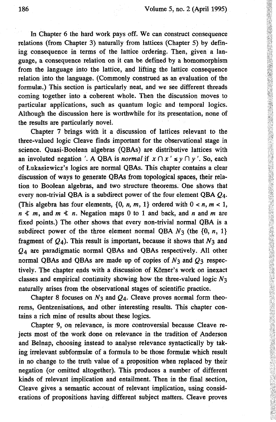In Chapter 6 the hard work pays off. We can construct consequence relations (from Chapter 3) naturally from lattices (Chapter 5) by defining consequence in terms of the lattice ordering. Then, given a language, a consequence relation on it can be defined by a homomorphism from the language into the lattice, and lifting the lattice consequence relation into the language. (Commonly construed as an evaluation of the formulae.) This section is particularly neat, and we see different threads coming together into a coherent whole. Then the discussion moves to particular applications, such as quantum logic and temporal logics. Although the discussion here is worthwhile for its presentation, none of the results are particularly novel.

Chapter 7 brings with it a discussion of lattices relevant to the three-valued logic Cleave finds important for the observational stage in science. Quasi-Boolean algebras (QBAs) are distributive lattices with an involuted negation '. A QBA is *normal* if  $x \cap x' \leq y \cap y'$ . So, each of Lukasiewicz's logics are normal QBAs. This chapter contains a clear discussion of ways to generate QBAs from topological spaces, their relation to Boolean algebras, and two structure theorems. One shows that every non-trivial QBA is a subdirect power of the four element QBA  $Q_4$ . (This algebra has four elements,  $\{0, n, m, 1\}$  ordered with  $0 < n, m < 1$ ,  $n \leq m$ , and  $m \leq n$ . Negation maps 0 to 1 and back, and *n* and *m* are fixed points.) The other shows that every non-trivial normal QBA is a subdirect power of the three element normal QBA  $N_3$  (the  $\{0, n, 1\}$ fragment of  $Q_4$ ). This result is important, because it shows that  $N_3$  and  $0<sub>4</sub>$  are paradigmatic normal QBAs and QBAs respectively. All other normal QBAs and QBAs are made up of copies of  $N_3$  and  $Q_3$  respectively. The chapter ends with a discussion of Körner's work on inexact classes and empirical continuity showing how the three-valued logic *N2* naturally arises from the observational stages of scientific practice.

Chapter 8 focuses on  $N_3$  and  $Q_4$ . Cleave proves normal form theorems, Gentzenisations, and other interesting results. This chapter contains a rich mine of results about these logics.

Chapter 9, on relevance, is more controversial because Cleave rejects most of the work done on relevance in the tradition of Anderson and Belnap, choosing instead to analyse relevance syntactically by taking irrelevant subformulæ of a formula to be those formulæ which result in no change to the truth value of a proposition when replaced by their negation (or omitted altogether). This produces a number of different kinds of relevant implication and entailment. Then in the final section, Cleave gives a semantic account of relevant implication, using considerations of propositions having different subject matters. Cleave proves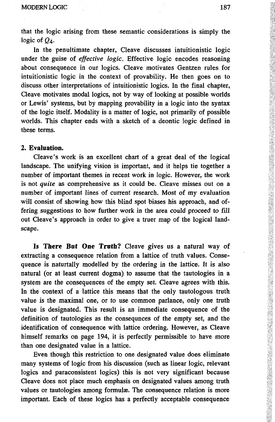that the logic arising from these semantic considerations is simply the logic of  $Q_4$ .

In the penultimate chapter, Cleave discusses intuitionistic logic under the guise of *effective logic.* Effective logic encodes reasoning about consequence in our logics. Cleave motivates Gentzen rules for intuitionistic logic in the context of provability. He then goes on to discuss other interpretations of intuitionistic logics. In the final chapter, Cleave motivates modal logics, not by way of looking at possible worlds or Lewis' systems, but by mapping provability in a logic into the syntax of the logic itself. Modality is a matter of logic, not primarily of possible worlds. This chapter ends with a sketch of a deontic logic defined in these terms.

# **2. Evaluation.**

Cleave's work is an excellent chart of a great deal of the logical landscape. The unifying vision is important, and it helps tie together a number of important themes in recent work in logic. However, the work is not *quite* as comprehensive as it could be. Cleave misses out on a number of important lines of current research. Most of my evaluation will consist of showing how this blind spot biases his approach, and offering suggestions to how further work in the area could proceed to fill out Cleave's approach in order to give a truer map of the logical landscape.

**Is There But One Truth?** Cleave gives us a natural way of extracting a consequence relation from a lattice of truth values. Consequence is naturtally modelled by the ordering in the lattice. It is also natural (or at least current dogma) to assume that the tautologies in a system are the consequences of the empty set. Cleave agrees with this. In the context of a lattice this means that the only tautologous truth value is the maximal one, or to use common parlance, only one truth value is designated. This result is an immediate consequence of the definition of tautologies as the consequnces of the empty set, and the identification of consequence with lattice ordering. However, as Cleave himself remarks on page 194, it is perfectly permissible to have more than one designated value in a lattice.

Even though this restriction to one designated value does eliminate many systems of logic from his discussion (such as linear logic, relevant logics and paraconsistent logics) this is not very significant because Cleave does not place much emphasis on designated values among truth values or tautologies among formulæ. The consequence relation is more important. Each of these logics has a perfectly acceptable consequence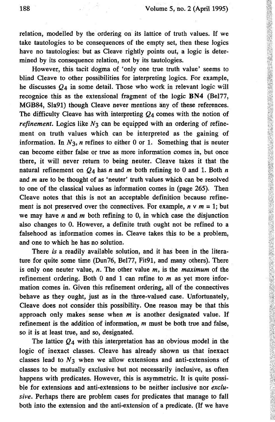relation, modelled by the ordering on its lattice of truth values. If we take tautologies to be consequences of the empty set, then these logics have no tautologies: but as Cleave rightly points out, a logic is determined by its consequence relation, not by its tautologies.

However, this tacit dogma of 'only one true truth value' seems to blind Cleave to other possibilities for interpreting logics. For example, he discusses  $O_4$  in some detail. Those who work in relevant logic will recognice this as the extensional fragment of the logic BN4 (Bel77, MGB84, Sla91) though Cleave never mentions any of these references. The difficulty Cleave has with interpreting  $Q_4$  comes with the notion of *refinement.* Logics like  $N_3$  can be equipped with an ordering of refinement on truth values which can be interpreted as the gaining of information. In  $N_3$ , *n* refines to either 0 or 1. Something that is neuter can become either false or true as more information comes in, but once there, it will never return to being neuter. Cleave takes it that the natural refinement on  $Q_4$  has n and m both refining to 0 and 1. Both n and *m* are to be thought of as 'neuter' truth values which can be resolved to one of the classical values as information comes in (page 265). Then Cleave notes that this is not an acceptable definition because refine ment is not preserved over the connectives. For example,  $n \vee m = 1$ ; but we may have *n* and *m* both refining to 0, in which case the disjunction also changes to 0. However, a definite truth ought not be refined to a falsehood as information comes in. Cleave takes this to be a problem, and one to which he has no solution.

There *is* a readily available solution, and it has been in the litera ture for quite some time (Dun76, Bel77, Fit91, and many others). There is only one neuter value, *n.* The other value *m,* is the *maximum* of the refinement ordering. Both 0 and 1 can refine to *m* as yet more infor mation comes in. Given this refinement ordering, all of the connectives behave as they ought, just as in the three-valued case. Unfortunately, Cleave does not consider this possibility. One reason may be that this approach only makes sense when *m* is another designated value. If refinement is the addition of information, *m* must be both true and false, so it is at least true, and so, designated.

The lattice *Q4* with this interpretation has an obvious model in the logic of inexact classes. Cleave has already shown us that inexact classes lead to  $N<sub>3</sub>$  when we allow extensions and anti-extensions of classes to be mutually exclusive but not necessarily inclusive, as often happens with predicates. However, this is asymmetric. It is quite possi ble for extensions and anti-extensions to be neither inclusive nor *exclusive.* Perhaps there are problem cases for predicates that manage to fall both into the extension and the anti-extension of a predicate. (If we have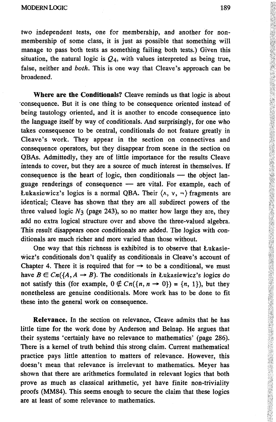two independent tests, one for membership, and another for non membership of some class, it is just as possible that something will manage to pass both tests as something failing both tests.) Given this situation, the natural logic is  $Q_4$ , with values interpreted as being true, false, neither and *both.* This is one way that Cleave's approach can be broadened.

**Where are the Conditionals?** Cleave reminds us that logic is about "consequence. But it is one thing to be consequence oriented instead of being tautology oriented, and it is another to encode consequence into the language itself by way of conditionals. And surprisingly, for one who takes consequence to be central, conditionals do not feature greatly in Cleave's work. They appear in the section on connectives and consequence operators, but they disappear from scene in the section on QBAs. Admittedly, they are of little importance for the results Cleave intends to cover, but they are a source of much interest in themselves. If consequence is the heart of logic, then conditionals — the object lan guage renderings of consequence — are vital. For example, each of Lukasiewicz's logics is a normal QBA. Their  $\langle \wedge, \vee, - \rangle$  fragments are identical; Cleave has shown that they are all subdirect powers of the three valued logic  $N_3$  (page 243), so no matter how large they are, they add no extra logical structure over and above the three-valued algebra. This result disappears once conditionals are added. The logics with con ditionals are much richer and more varied than those without.

One way that this richness is exhibited is to observe that Lukasie wicz's conditionals don't qualify as conditionals in Cleave's account of Chapter 4. There it is required that for  $\rightarrow$  to be a conditional, we must have  $B \in C_n(\{A, A \rightarrow B\})$ . The conditionals in Lukasiewicz's logics do not satisfy this (for example,  $0 \notin C_n({n, n \rightarrow 0}) = {n, 1}$ ), but they nonetheless are genuine conditionals. More work has to be done to fit these into the general work on consequence.

**Relevance.** In the section on relevance, Cleave admits that he has little time for the work done by Anderson and Belnap. He argues that their systems 'certainly have no relevance to mathematics' (page 286). There is a kernel of truth behind this strong claim. Current mathematical practice pays little attention to matters of relevance. However, this doesn't mean that relevance is irrelevant to mathematics. Meyer has shown that there are arithmetics formulated in relevant logics that both prove as much as classical arithmetic, yet have finite non-triviality proofs (MM84). This seems enough to secure the claim that these logics are at least of some relevance to mathematics.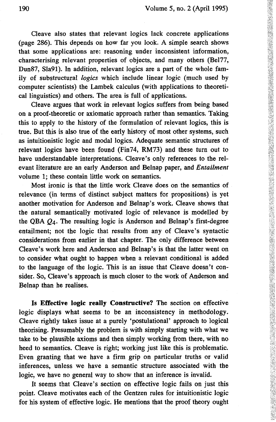Cleave also states that relevant logics lack concrete applications (page 286). This depends on how far you look. A simple search shows that some applications are: reasoning under inconsistent information, characterising relevant properties of objects, and many others (Bel77, Dun87, Sla91). In addition, relevant logics are a part of the whole family of substructural *logics* which include linear logic (much used by computer scientists) the Lambek calculus (with applications to theoretical linguistics) and others. The area is full of applications.

Cleave argues that work in relevant logics suffers from being based on a proof-theoretic or axiomatic approach rather than semantics. Taking this to apply to the history of the formulation of relevant logics, this is true. But this is also true of the early history of most other systems, such as intuitionistic logic and modal logics. Adequate semantic structures of relevant logics have been found (Fin74, RM73) and these turn out to have understandable interpretations. Cleave's only references to the relevant literature are an early Anderson and Belnap paper, and *Entailment* volume 1; these contain little work on semantics.

Most ironic is that the little work Cleave does on the semantics of relevance (in terms of distinct subject matters for propositions) is yet another motivation for Anderson and Belnap's work. Cleave shows that the natural semantically motivated logic of relevance is modelled by the QBA  $Q_4$ . The resulting logic is Anderson and Belnap's first-degree entailment; not the logic that results from any of Cleave's syntactic considerations from earlier in that chapter. The only difference between Cleave's work here and Anderson and Belnap's is that the latter went on to consider what ought to happen when a relevant conditional is added to the language of the logic. This is an issue that Cleave doesn't consider. So, Cleave's approach is much closer to the work of Anderson and Belnap than he realises.

**Is Effective logic really Constructive?** The section on effective logic displays what seems to be an inconsistency in methodology. Cleave rightly takes issue at a purely 'postulational' approach to logical theorising. Presumably the problem is with simply starting with what we take to be plausible axioms and then simply working from there, with no heed to semantics. Cleave is right; working just like this is problematic. Even granting that we have a firm grip on particular truths or valid inferences, unless we have a semantic structure associated with the logic, we have no general way to show that an inference is invalid.

It seems that Cleave's section on effective logic fails on just this point. Cleave motivates each of the Gentzen rules for intuitionistic logic for his system of effective logic. He mentions that the proof theory ought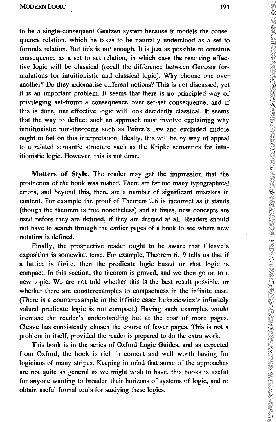to be a single-consequent Gentzen system because it models the consequence relation, which he takes to be naturally understood as a set to formula relation. But this is not enough. It is just as possible to construe consequence as a set to set relation, in which case the resulting effective logic will be classical (recall the difference between Gentzen formulations for intuitionistic and classical logic). Why choose one over another? Do they axiomatise different notions? This is not discussed, yet it is an important problem. It seems that there is no principled way of privileging set-formula consequence over set-set consequence, and if this is done, our effective logic will look decidedly classical. It seems that the way to deflect such an approach must involve explaining why intuitionistic non-theorems such as Peirce's law and excluded middle ought to fail on this interpretation. Ideally, this will be by way of appeal to a related semantic structure such as the Kripke semantics for intuitionistic logic. However, this is not done.

**Matters of Style.** The reader may get the impression that the production of the book was rushed. There are far too many typographical errors, and beyond this, there are a number of significant mistakes in content. For example the proof of Theorem 2.6 is incorrect as it stands (though the theorem is true nonetheless) and at times, new concepts are used before they are defined, if they are defined at all. Readers should not have to search through the earlier pages of a book to see where new notation is defined.

Finally, the prospective reader ought to be aware that Cleave's exposition is somewhat terse. For example, Theorem 6.19 tells us that if a lattice is finite, then the predicate logic based on that logic is compact. In this section, the theorem is proved, and we then go on to a new topic. We are not told whether this is the best result possible, or whether there are counterexamples to compactness in the infinite case. (There is a counterexample in the infinite case: Lukasiewicz's infinitely valued predicate logic is not compact.) Having such examples would increase the reader's understanding but at the cost of more pages. Cleave has consistently chosen the course of fewer pages. This is not a problem in itself, provided the reader is prepared to do the extra work.

This book is in the series of Oxford Logic Guides, and as expected from Oxford, the book is rich in content and well worth having for logicians of many stripes. Keeping in mind that some of the approaches are not quite as general as we might wish to have, this books is useful for anyone wanting to broaden their horizons of systems of logic, and to obtain useful formal tools for studying these logics.